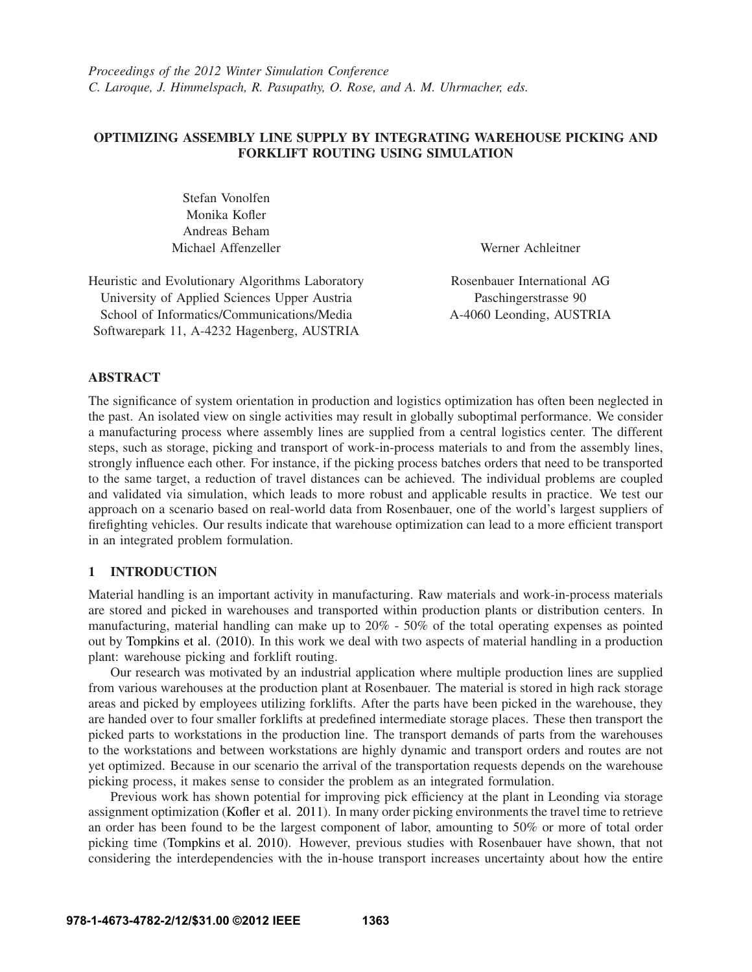# **OPTIMIZING ASSEMBLY LINE SUPPLY BY INTEGRATING WAREHOUSE PICKING AND FORKLIFT ROUTING USING SIMULATION**

Stefan Vonolfen Monika Kofler Andreas Beham Michael Affenzeller

Werner Achleitner

Heuristic and Evolutionary Algorithms Laboratory University of Applied Sciences Upper Austria School of Informatics/Communications/Media Softwarepark 11, A-4232 Hagenberg, AUSTRIA

Rosenbauer International AG Paschingerstrasse 90 A-4060 Leonding, AUSTRIA

# **ABSTRACT**

The significance of system orientation in production and logistics optimization has often been neglected in the past. An isolated view on single activities may result in globally suboptimal performance. We consider a manufacturing process where assembly lines are supplied from a central logistics center. The different steps, such as storage, picking and transport of work-in-process materials to and from the assembly lines, strongly influence each other. For instance, if the picking process batches orders that need to be transported to the same target, a reduction of travel distances can be achieved. The individual problems are coupled and validated via simulation, which leads to more robust and applicable results in practice. We test our approach on a scenario based on real-world data from Rosenbauer, one of the world's largest suppliers of firefighting vehicles. Our results indicate that warehouse optimization can lead to a more efficient transport in an integrated problem formulation.

## **1 INTRODUCTION**

Material handling is an important activity in manufacturing. Raw materials and work-in-process materials are stored and picked in warehouses and transported within production plants or distribution centers. In manufacturing, material handling can make up to 20% - 50% of the total operating expenses as pointed out by Tompkins et al. (2010). In this work we deal with two aspects of material handling in a production plant: warehouse picking and forklift routing.

Our research was motivated by an industrial application where multiple production lines are supplied from various warehouses at the production plant at Rosenbauer. The material is stored in high rack storage areas and picked by employees utilizing forklifts. After the parts have been picked in the warehouse, they are handed over to four smaller forklifts at predefined intermediate storage places. These then transport the picked parts to workstations in the production line. The transport demands of parts from the warehouses to the workstations and between workstations are highly dynamic and transport orders and routes are not yet optimized. Because in our scenario the arrival of the transportation requests depends on the warehouse picking process, it makes sense to consider the problem as an integrated formulation.

Previous work has shown potential for improving pick efficiency at the plant in Leonding via storage assignment optimization (Kofler et al. 2011). In many order picking environments the travel time to retrieve an order has been found to be the largest component of labor, amounting to 50% or more of total order picking time (Tompkins et al. 2010). However, previous studies with Rosenbauer have shown, that not considering the interdependencies with the in-house transport increases uncertainty about how the entire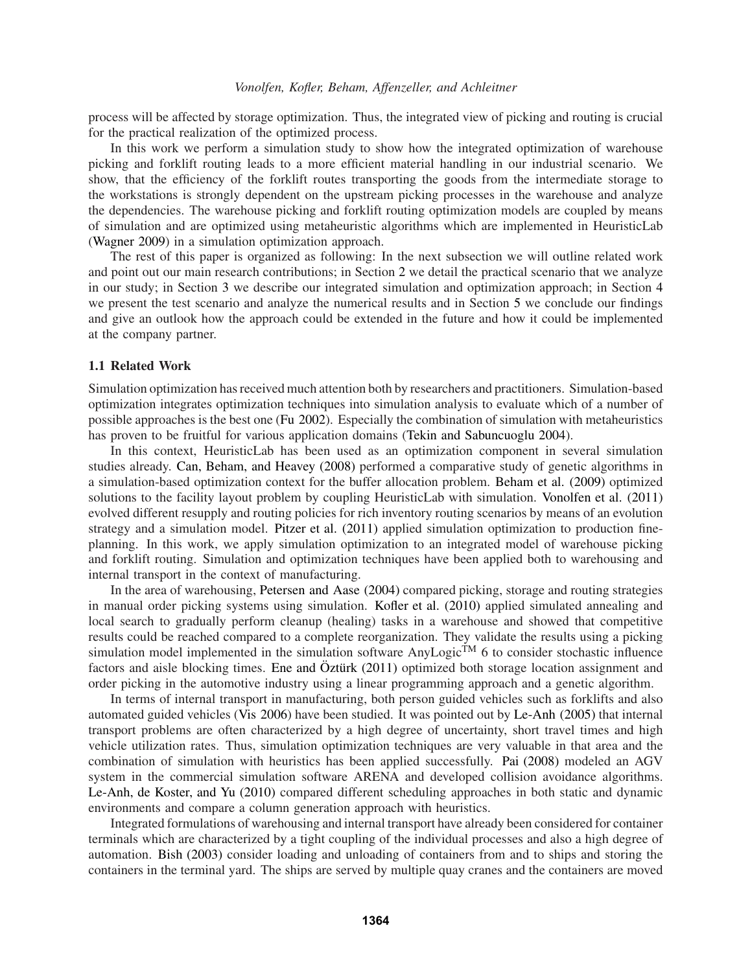process will be affected by storage optimization. Thus, the integrated view of picking and routing is crucial for the practical realization of the optimized process.

In this work we perform a simulation study to show how the integrated optimization of warehouse picking and forklift routing leads to a more efficient material handling in our industrial scenario. We show, that the efficiency of the forklift routes transporting the goods from the intermediate storage to the workstations is strongly dependent on the upstream picking processes in the warehouse and analyze the dependencies. The warehouse picking and forklift routing optimization models are coupled by means of simulation and are optimized using metaheuristic algorithms which are implemented in HeuristicLab (Wagner 2009) in a simulation optimization approach.

The rest of this paper is organized as following: In the next subsection we will outline related work and point out our main research contributions; in Section 2 we detail the practical scenario that we analyze in our study; in Section 3 we describe our integrated simulation and optimization approach; in Section 4 we present the test scenario and analyze the numerical results and in Section 5 we conclude our findings and give an outlook how the approach could be extended in the future and how it could be implemented at the company partner.

#### **1.1 Related Work**

Simulation optimization has received much attention both by researchers and practitioners. Simulation-based optimization integrates optimization techniques into simulation analysis to evaluate which of a number of possible approaches is the best one (Fu 2002). Especially the combination of simulation with metaheuristics has proven to be fruitful for various application domains (Tekin and Sabuncuoglu 2004).

In this context, HeuristicLab has been used as an optimization component in several simulation studies already. Can, Beham, and Heavey (2008) performed a comparative study of genetic algorithms in a simulation-based optimization context for the buffer allocation problem. Beham et al. (2009) optimized solutions to the facility layout problem by coupling HeuristicLab with simulation. Vonolfen et al. (2011) evolved different resupply and routing policies for rich inventory routing scenarios by means of an evolution strategy and a simulation model. Pitzer et al. (2011) applied simulation optimization to production fineplanning. In this work, we apply simulation optimization to an integrated model of warehouse picking and forklift routing. Simulation and optimization techniques have been applied both to warehousing and internal transport in the context of manufacturing.

In the area of warehousing, Petersen and Aase (2004) compared picking, storage and routing strategies in manual order picking systems using simulation. Kofler et al. (2010) applied simulated annealing and local search to gradually perform cleanup (healing) tasks in a warehouse and showed that competitive results could be reached compared to a complete reorganization. They validate the results using a picking simulation model implemented in the simulation software  $Any Logic<sup>TM</sup> 6$  to consider stochastic influence factors and aisle blocking times. Ene and Öztürk (2011) optimized both storage location assignment and order picking in the automotive industry using a linear programming approach and a genetic algorithm.

In terms of internal transport in manufacturing, both person guided vehicles such as forklifts and also automated guided vehicles (Vis 2006) have been studied. It was pointed out by Le-Anh (2005) that internal transport problems are often characterized by a high degree of uncertainty, short travel times and high vehicle utilization rates. Thus, simulation optimization techniques are very valuable in that area and the combination of simulation with heuristics has been applied successfully. Pai (2008) modeled an AGV system in the commercial simulation software ARENA and developed collision avoidance algorithms. Le-Anh, de Koster, and Yu (2010) compared different scheduling approaches in both static and dynamic environments and compare a column generation approach with heuristics.

Integrated formulations of warehousing and internal transport have already been considered for container terminals which are characterized by a tight coupling of the individual processes and also a high degree of automation. Bish (2003) consider loading and unloading of containers from and to ships and storing the containers in the terminal yard. The ships are served by multiple quay cranes and the containers are moved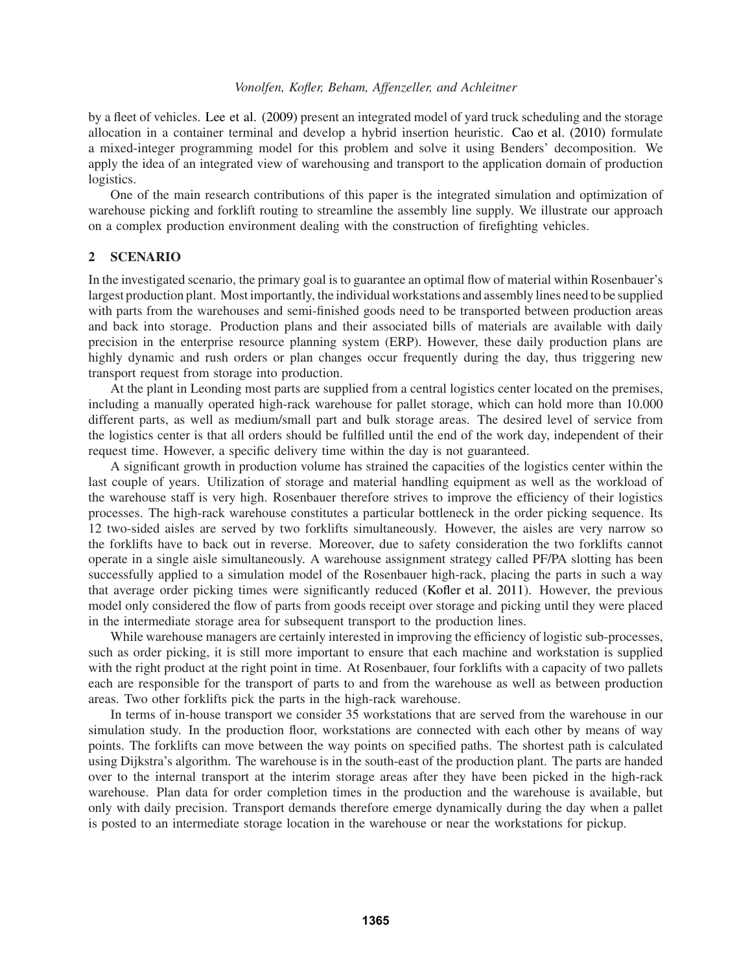by a fleet of vehicles. Lee et al. (2009) present an integrated model of yard truck scheduling and the storage allocation in a container terminal and develop a hybrid insertion heuristic. Cao et al. (2010) formulate a mixed-integer programming model for this problem and solve it using Benders' decomposition. We apply the idea of an integrated view of warehousing and transport to the application domain of production logistics.

One of the main research contributions of this paper is the integrated simulation and optimization of warehouse picking and forklift routing to streamline the assembly line supply. We illustrate our approach on a complex production environment dealing with the construction of firefighting vehicles.

# **2 SCENARIO**

In the investigated scenario, the primary goal is to guarantee an optimal flow of material within Rosenbauer's largest production plant. Most importantly, the individual workstations and assembly lines need to be supplied with parts from the warehouses and semi-finished goods need to be transported between production areas and back into storage. Production plans and their associated bills of materials are available with daily precision in the enterprise resource planning system (ERP). However, these daily production plans are highly dynamic and rush orders or plan changes occur frequently during the day, thus triggering new transport request from storage into production.

At the plant in Leonding most parts are supplied from a central logistics center located on the premises, including a manually operated high-rack warehouse for pallet storage, which can hold more than 10.000 different parts, as well as medium/small part and bulk storage areas. The desired level of service from the logistics center is that all orders should be fulfilled until the end of the work day, independent of their request time. However, a specific delivery time within the day is not guaranteed.

A significant growth in production volume has strained the capacities of the logistics center within the last couple of years. Utilization of storage and material handling equipment as well as the workload of the warehouse staff is very high. Rosenbauer therefore strives to improve the efficiency of their logistics processes. The high-rack warehouse constitutes a particular bottleneck in the order picking sequence. Its 12 two-sided aisles are served by two forklifts simultaneously. However, the aisles are very narrow so the forklifts have to back out in reverse. Moreover, due to safety consideration the two forklifts cannot operate in a single aisle simultaneously. A warehouse assignment strategy called PF/PA slotting has been successfully applied to a simulation model of the Rosenbauer high-rack, placing the parts in such a way that average order picking times were significantly reduced (Kofler et al. 2011). However, the previous model only considered the flow of parts from goods receipt over storage and picking until they were placed in the intermediate storage area for subsequent transport to the production lines.

While warehouse managers are certainly interested in improving the efficiency of logistic sub-processes, such as order picking, it is still more important to ensure that each machine and workstation is supplied with the right product at the right point in time. At Rosenbauer, four forklifts with a capacity of two pallets each are responsible for the transport of parts to and from the warehouse as well as between production areas. Two other forklifts pick the parts in the high-rack warehouse.

In terms of in-house transport we consider 35 workstations that are served from the warehouse in our simulation study. In the production floor, workstations are connected with each other by means of way points. The forklifts can move between the way points on specified paths. The shortest path is calculated using Dijkstra's algorithm. The warehouse is in the south-east of the production plant. The parts are handed over to the internal transport at the interim storage areas after they have been picked in the high-rack warehouse. Plan data for order completion times in the production and the warehouse is available, but only with daily precision. Transport demands therefore emerge dynamically during the day when a pallet is posted to an intermediate storage location in the warehouse or near the workstations for pickup.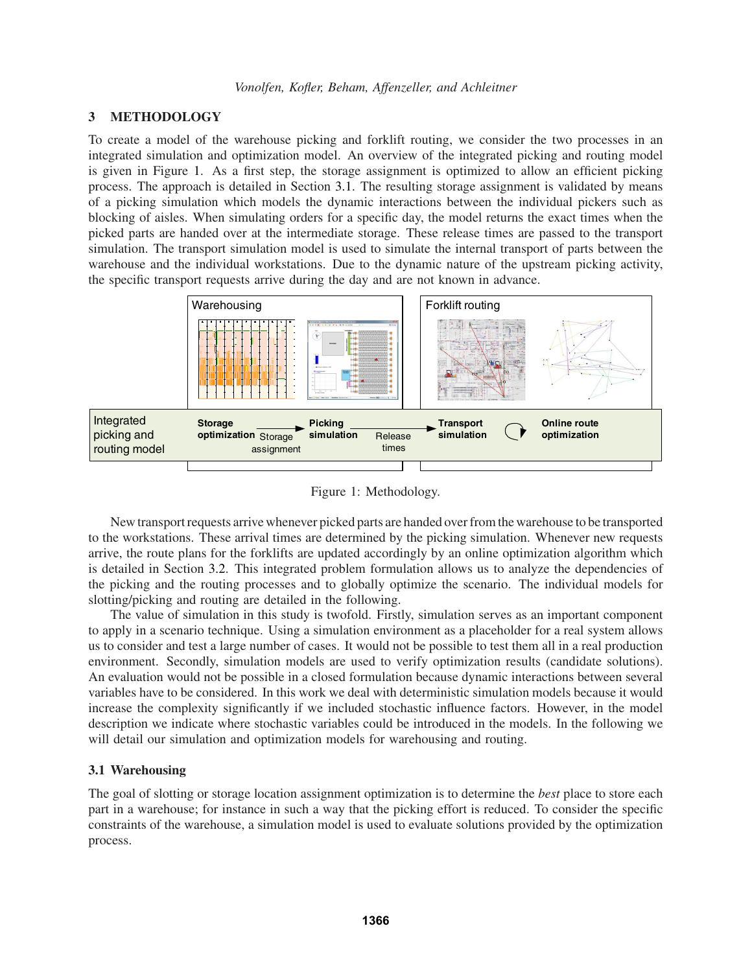# **3 METHODOLOGY**

To create a model of the warehouse picking and forklift routing, we consider the two processes in an integrated simulation and optimization model. An overview of the integrated picking and routing model is given in Figure 1. As a first step, the storage assignment is optimized to allow an efficient picking process. The approach is detailed in Section 3.1. The resulting storage assignment is validated by means of a picking simulation which models the dynamic interactions between the individual pickers such as blocking of aisles. When simulating orders for a specific day, the model returns the exact times when the picked parts are handed over at the intermediate storage. These release times are passed to the transport simulation. The transport simulation model is used to simulate the internal transport of parts between the warehouse and the individual workstations. Due to the dynamic nature of the upstream picking activity, the specific transport requests arrive during the day and are not known in advance.



Figure 1: Methodology.

New transport requests arrive whenever picked parts are handed over from the warehouse to be transported to the workstations. These arrival times are determined by the picking simulation. Whenever new requests arrive, the route plans for the forklifts are updated accordingly by an online optimization algorithm which is detailed in Section 3.2. This integrated problem formulation allows us to analyze the dependencies of the picking and the routing processes and to globally optimize the scenario. The individual models for slotting/picking and routing are detailed in the following.

The value of simulation in this study is twofold. Firstly, simulation serves as an important component to apply in a scenario technique. Using a simulation environment as a placeholder for a real system allows us to consider and test a large number of cases. It would not be possible to test them all in a real production environment. Secondly, simulation models are used to verify optimization results (candidate solutions). An evaluation would not be possible in a closed formulation because dynamic interactions between several variables have to be considered. In this work we deal with deterministic simulation models because it would increase the complexity significantly if we included stochastic influence factors. However, in the model description we indicate where stochastic variables could be introduced in the models. In the following we will detail our simulation and optimization models for warehousing and routing.

# **3.1 Warehousing**

The goal of slotting or storage location assignment optimization is to determine the *best* place to store each part in a warehouse; for instance in such a way that the picking effort is reduced. To consider the specific constraints of the warehouse, a simulation model is used to evaluate solutions provided by the optimization process.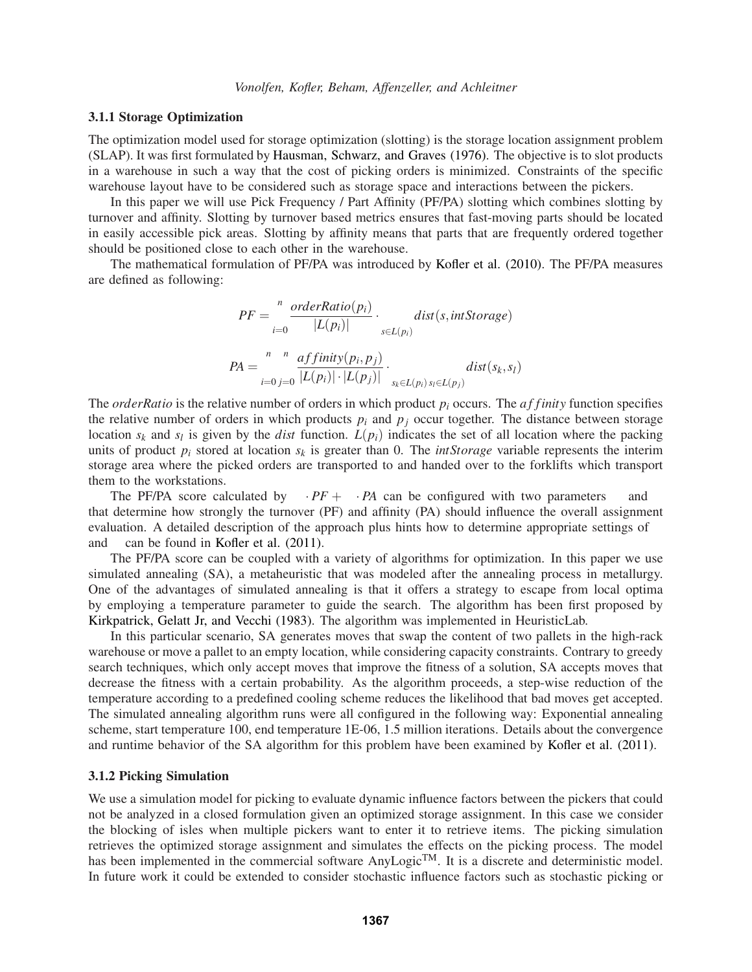#### **3.1.1 Storage Optimization**

The optimization model used for storage optimization (slotting) is the storage location assignment problem (SLAP). It was first formulated by Hausman, Schwarz, and Graves (1976). The objective is to slot products in a warehouse in such a way that the cost of picking orders is minimized. Constraints of the specific warehouse layout have to be considered such as storage space and interactions between the pickers.

In this paper we will use Pick Frequency / Part Affinity (PF/PA) slotting which combines slotting by turnover and affinity. Slotting by turnover based metrics ensures that fast-moving parts should be located in easily accessible pick areas. Slotting by affinity means that parts that are frequently ordered together should be positioned close to each other in the warehouse.

The mathematical formulation of PF/PA was introduced by Kofler et al. (2010). The PF/PA measures are defined as following:

$$
PF = \sum_{i=0}^{n} \frac{orderRatio(p_i)}{|L(p_i)|} \cdot \sum_{s \in L(p_i)} dist(s, intStorage)
$$

$$
PA = \sum_{i=0}^{n} \sum_{j=0}^{n} \frac{affinity(p_i, p_j)}{|L(p_i)| \cdot |L(p_j)|} \cdot \sum_{s_k \in L(p_i)} \sum_{s_l \in L(p_j)} dist(s_k, s_l)
$$

The *orderRatio* is the relative number of orders in which product *p<sup>i</sup>* occurs. The *a f f inity* function specifies the relative number of orders in which products  $p_i$  and  $p_j$  occur together. The distance between storage location  $s_k$  and  $s_l$  is given by the *dist* function.  $L(p_i)$  indicates the set of all location where the packing units of product  $p_i$  stored at location  $s_k$  is greater than 0. The *intStorage* variable represents the interim storage area where the picked orders are transported to and handed over to the forklifts which transport them to the workstations.

The PF/PA score calculated by  $\alpha \cdot PF + \beta \cdot PA$  can be configured with two parameters  $\alpha$  and  $\beta$ that determine how strongly the turnover (PF) and affinity (PA) should influence the overall assignment evaluation. A detailed description of the approach plus hints how to determine appropriate settings of  $\alpha$ and  $\beta$  can be found in Kofler et al. (2011).

The PF/PA score can be coupled with a variety of algorithms for optimization. In this paper we use simulated annealing (SA), a metaheuristic that was modeled after the annealing process in metallurgy. One of the advantages of simulated annealing is that it offers a strategy to escape from local optima by employing a temperature parameter to guide the search. The algorithm has been first proposed by Kirkpatrick, Gelatt Jr, and Vecchi (1983). The algorithm was implemented in HeuristicLab.

In this particular scenario, SA generates moves that swap the content of two pallets in the high-rack warehouse or move a pallet to an empty location, while considering capacity constraints. Contrary to greedy search techniques, which only accept moves that improve the fitness of a solution, SA accepts moves that decrease the fitness with a certain probability. As the algorithm proceeds, a step-wise reduction of the temperature according to a predefined cooling scheme reduces the likelihood that bad moves get accepted. The simulated annealing algorithm runs were all configured in the following way: Exponential annealing scheme, start temperature 100, end temperature 1E-06, 1.5 million iterations. Details about the convergence and runtime behavior of the SA algorithm for this problem have been examined by Kofler et al. (2011).

#### **3.1.2 Picking Simulation**

We use a simulation model for picking to evaluate dynamic influence factors between the pickers that could not be analyzed in a closed formulation given an optimized storage assignment. In this case we consider the blocking of isles when multiple pickers want to enter it to retrieve items. The picking simulation retrieves the optimized storage assignment and simulates the effects on the picking process. The model has been implemented in the commercial software AnyLogic<sup>TM</sup>. It is a discrete and deterministic model. In future work it could be extended to consider stochastic influence factors such as stochastic picking or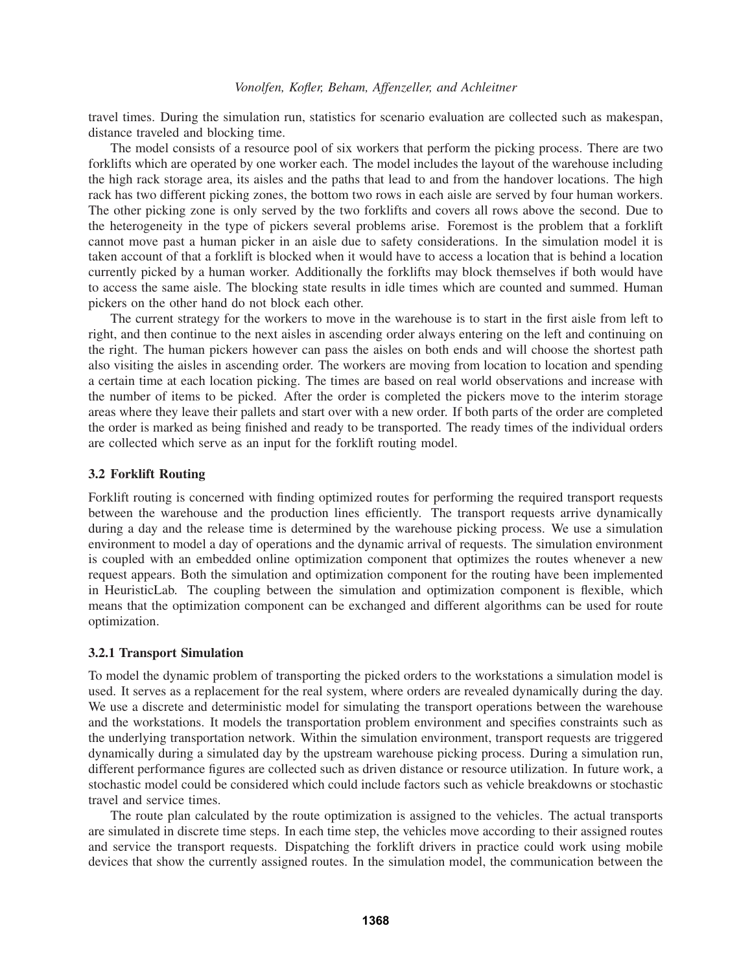travel times. During the simulation run, statistics for scenario evaluation are collected such as makespan, distance traveled and blocking time.

The model consists of a resource pool of six workers that perform the picking process. There are two forklifts which are operated by one worker each. The model includes the layout of the warehouse including the high rack storage area, its aisles and the paths that lead to and from the handover locations. The high rack has two different picking zones, the bottom two rows in each aisle are served by four human workers. The other picking zone is only served by the two forklifts and covers all rows above the second. Due to the heterogeneity in the type of pickers several problems arise. Foremost is the problem that a forklift cannot move past a human picker in an aisle due to safety considerations. In the simulation model it is taken account of that a forklift is blocked when it would have to access a location that is behind a location currently picked by a human worker. Additionally the forklifts may block themselves if both would have to access the same aisle. The blocking state results in idle times which are counted and summed. Human pickers on the other hand do not block each other.

The current strategy for the workers to move in the warehouse is to start in the first aisle from left to right, and then continue to the next aisles in ascending order always entering on the left and continuing on the right. The human pickers however can pass the aisles on both ends and will choose the shortest path also visiting the aisles in ascending order. The workers are moving from location to location and spending a certain time at each location picking. The times are based on real world observations and increase with the number of items to be picked. After the order is completed the pickers move to the interim storage areas where they leave their pallets and start over with a new order. If both parts of the order are completed the order is marked as being finished and ready to be transported. The ready times of the individual orders are collected which serve as an input for the forklift routing model.

#### **3.2 Forklift Routing**

Forklift routing is concerned with finding optimized routes for performing the required transport requests between the warehouse and the production lines efficiently. The transport requests arrive dynamically during a day and the release time is determined by the warehouse picking process. We use a simulation environment to model a day of operations and the dynamic arrival of requests. The simulation environment is coupled with an embedded online optimization component that optimizes the routes whenever a new request appears. Both the simulation and optimization component for the routing have been implemented in HeuristicLab. The coupling between the simulation and optimization component is flexible, which means that the optimization component can be exchanged and different algorithms can be used for route optimization.

# **3.2.1 Transport Simulation**

To model the dynamic problem of transporting the picked orders to the workstations a simulation model is used. It serves as a replacement for the real system, where orders are revealed dynamically during the day. We use a discrete and deterministic model for simulating the transport operations between the warehouse and the workstations. It models the transportation problem environment and specifies constraints such as the underlying transportation network. Within the simulation environment, transport requests are triggered dynamically during a simulated day by the upstream warehouse picking process. During a simulation run, different performance figures are collected such as driven distance or resource utilization. In future work, a stochastic model could be considered which could include factors such as vehicle breakdowns or stochastic travel and service times.

The route plan calculated by the route optimization is assigned to the vehicles. The actual transports are simulated in discrete time steps. In each time step, the vehicles move according to their assigned routes and service the transport requests. Dispatching the forklift drivers in practice could work using mobile devices that show the currently assigned routes. In the simulation model, the communication between the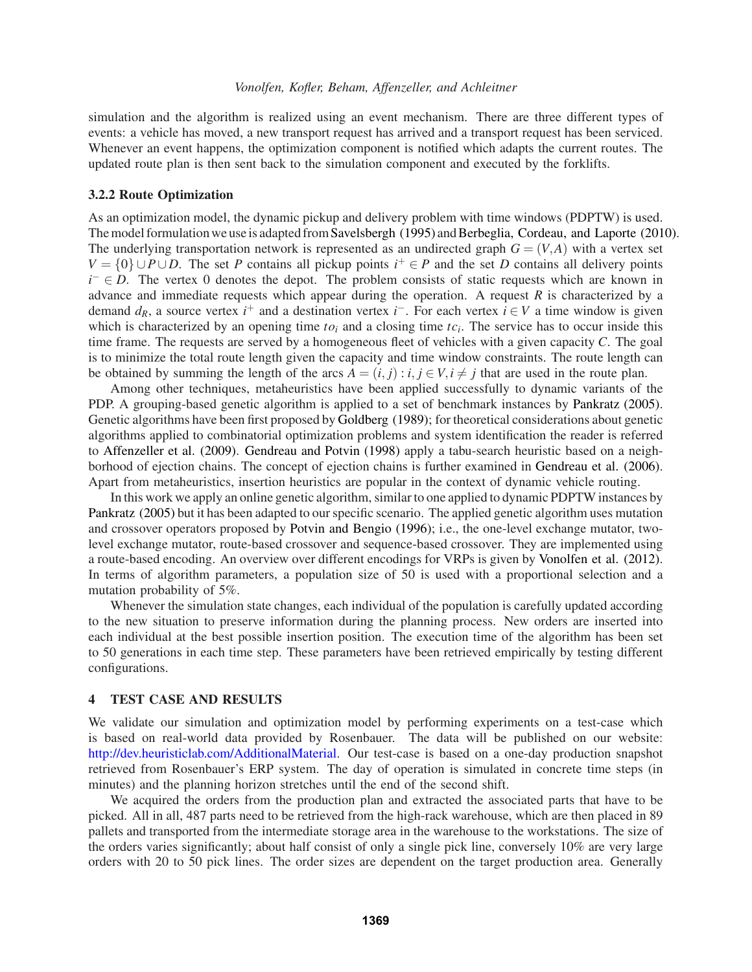simulation and the algorithm is realized using an event mechanism. There are three different types of events: a vehicle has moved, a new transport request has arrived and a transport request has been serviced. Whenever an event happens, the optimization component is notified which adapts the current routes. The updated route plan is then sent back to the simulation component and executed by the forklifts.

#### **3.2.2 Route Optimization**

As an optimization model, the dynamic pickup and delivery problem with time windows (PDPTW) is used. The model formulation we use is adapted from Savelsbergh (1995) and Berbeglia, Cordeau, and Laporte (2010). The underlying transportation network is represented as an undirected graph  $G = (V, A)$  with a vertex set  $V = \{0\} \cup P \cup D$ . The set *P* contains all pickup points  $i^+ \in P$  and the set *D* contains all delivery points  $i^- \in D$ . The vertex 0 denotes the depot. The problem consists of static requests which are known in advance and immediate requests which appear during the operation. A request *R* is characterized by a demand  $d_R$ , a source vertex  $i^+$  and a destination vertex  $i^-$ . For each vertex  $i \in V$  a time window is given which is characterized by an opening time  $to<sub>i</sub>$  and a closing time  $tc<sub>i</sub>$ . The service has to occur inside this time frame. The requests are served by a homogeneous fleet of vehicles with a given capacity *C*. The goal is to minimize the total route length given the capacity and time window constraints. The route length can be obtained by summing the length of the arcs  $A = (i, j)$ :  $i, j \in V, i \neq j$  that are used in the route plan.

Among other techniques, metaheuristics have been applied successfully to dynamic variants of the PDP. A grouping-based genetic algorithm is applied to a set of benchmark instances by Pankratz (2005). Genetic algorithms have been first proposed by Goldberg (1989); for theoretical considerations about genetic algorithms applied to combinatorial optimization problems and system identification the reader is referred to Affenzeller et al. (2009). Gendreau and Potvin (1998) apply a tabu-search heuristic based on a neighborhood of ejection chains. The concept of ejection chains is further examined in Gendreau et al. (2006). Apart from metaheuristics, insertion heuristics are popular in the context of dynamic vehicle routing.

In this work we apply an online genetic algorithm, similar to one applied to dynamic PDPTW instances by Pankratz (2005) but it has been adapted to our specific scenario. The applied genetic algorithm uses mutation and crossover operators proposed by Potvin and Bengio (1996); i.e., the one-level exchange mutator, twolevel exchange mutator, route-based crossover and sequence-based crossover. They are implemented using a route-based encoding. An overview over different encodings for VRPs is given by Vonolfen et al. (2012). In terms of algorithm parameters, a population size of 50 is used with a proportional selection and a mutation probability of 5%.

Whenever the simulation state changes, each individual of the population is carefully updated according to the new situation to preserve information during the planning process. New orders are inserted into each individual at the best possible insertion position. The execution time of the algorithm has been set to 50 generations in each time step. These parameters have been retrieved empirically by testing different configurations.

#### **4 TEST CASE AND RESULTS**

We validate our simulation and optimization model by performing experiments on a test-case which is based on real-world data provided by Rosenbauer. The data will be published on our website: http://dev.heuristiclab.com/AdditionalMaterial. Our test-case is based on a one-day production snapshot retrieved from Rosenbauer's ERP system. The day of operation is simulated in concrete time steps (in minutes) and the planning horizon stretches until the end of the second shift.

We acquired the orders from the production plan and extracted the associated parts that have to be picked. All in all, 487 parts need to be retrieved from the high-rack warehouse, which are then placed in 89 pallets and transported from the intermediate storage area in the warehouse to the workstations. The size of the orders varies significantly; about half consist of only a single pick line, conversely 10% are very large orders with 20 to 50 pick lines. The order sizes are dependent on the target production area. Generally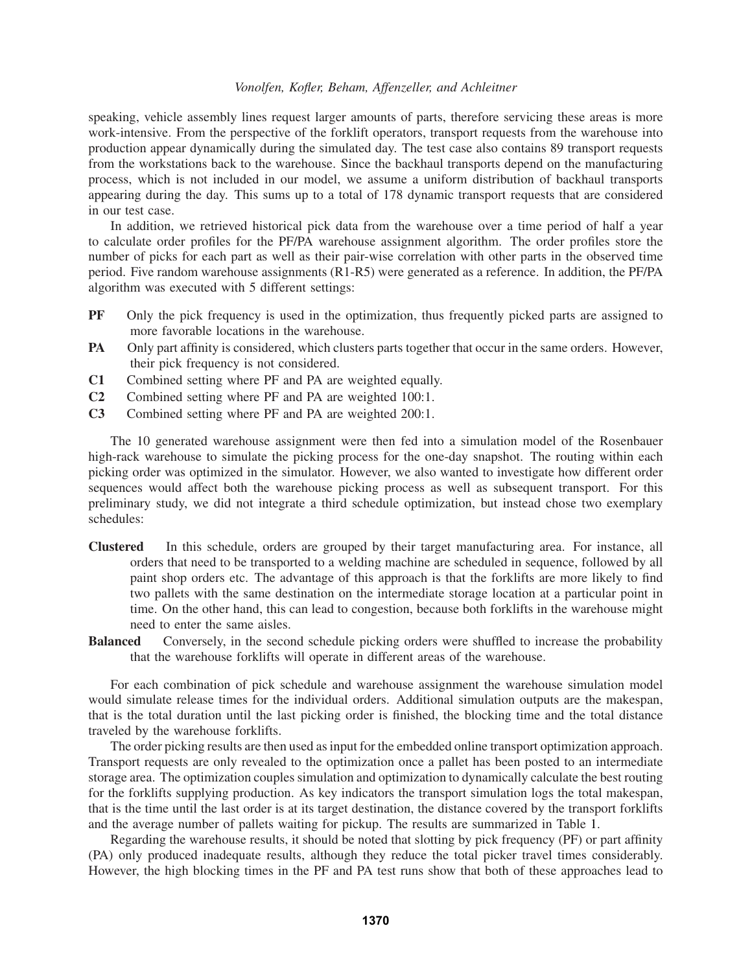speaking, vehicle assembly lines request larger amounts of parts, therefore servicing these areas is more work-intensive. From the perspective of the forklift operators, transport requests from the warehouse into production appear dynamically during the simulated day. The test case also contains 89 transport requests from the workstations back to the warehouse. Since the backhaul transports depend on the manufacturing process, which is not included in our model, we assume a uniform distribution of backhaul transports appearing during the day. This sums up to a total of 178 dynamic transport requests that are considered in our test case.

In addition, we retrieved historical pick data from the warehouse over a time period of half a year to calculate order profiles for the PF/PA warehouse assignment algorithm. The order profiles store the number of picks for each part as well as their pair-wise correlation with other parts in the observed time period. Five random warehouse assignments (R1-R5) were generated as a reference. In addition, the PF/PA algorithm was executed with 5 different settings:

- **PF** Only the pick frequency is used in the optimization, thus frequently picked parts are assigned to more favorable locations in the warehouse.
- **PA** Only part affinity is considered, which clusters parts together that occur in the same orders. However, their pick frequency is not considered.
- **C1** Combined setting where PF and PA are weighted equally.
- **C2** Combined setting where PF and PA are weighted 100:1.
- **C3** Combined setting where PF and PA are weighted 200:1.

The 10 generated warehouse assignment were then fed into a simulation model of the Rosenbauer high-rack warehouse to simulate the picking process for the one-day snapshot. The routing within each picking order was optimized in the simulator. However, we also wanted to investigate how different order sequences would affect both the warehouse picking process as well as subsequent transport. For this preliminary study, we did not integrate a third schedule optimization, but instead chose two exemplary schedules:

- **Clustered** In this schedule, orders are grouped by their target manufacturing area. For instance, all orders that need to be transported to a welding machine are scheduled in sequence, followed by all paint shop orders etc. The advantage of this approach is that the forklifts are more likely to find two pallets with the same destination on the intermediate storage location at a particular point in time. On the other hand, this can lead to congestion, because both forklifts in the warehouse might need to enter the same aisles.
- **Balanced** Conversely, in the second schedule picking orders were shuffled to increase the probability that the warehouse forklifts will operate in different areas of the warehouse.

For each combination of pick schedule and warehouse assignment the warehouse simulation model would simulate release times for the individual orders. Additional simulation outputs are the makespan, that is the total duration until the last picking order is finished, the blocking time and the total distance traveled by the warehouse forklifts.

The order picking results are then used as input for the embedded online transport optimization approach. Transport requests are only revealed to the optimization once a pallet has been posted to an intermediate storage area. The optimization couples simulation and optimization to dynamically calculate the best routing for the forklifts supplying production. As key indicators the transport simulation logs the total makespan, that is the time until the last order is at its target destination, the distance covered by the transport forklifts and the average number of pallets waiting for pickup. The results are summarized in Table 1.

Regarding the warehouse results, it should be noted that slotting by pick frequency (PF) or part affinity (PA) only produced inadequate results, although they reduce the total picker travel times considerably. However, the high blocking times in the PF and PA test runs show that both of these approaches lead to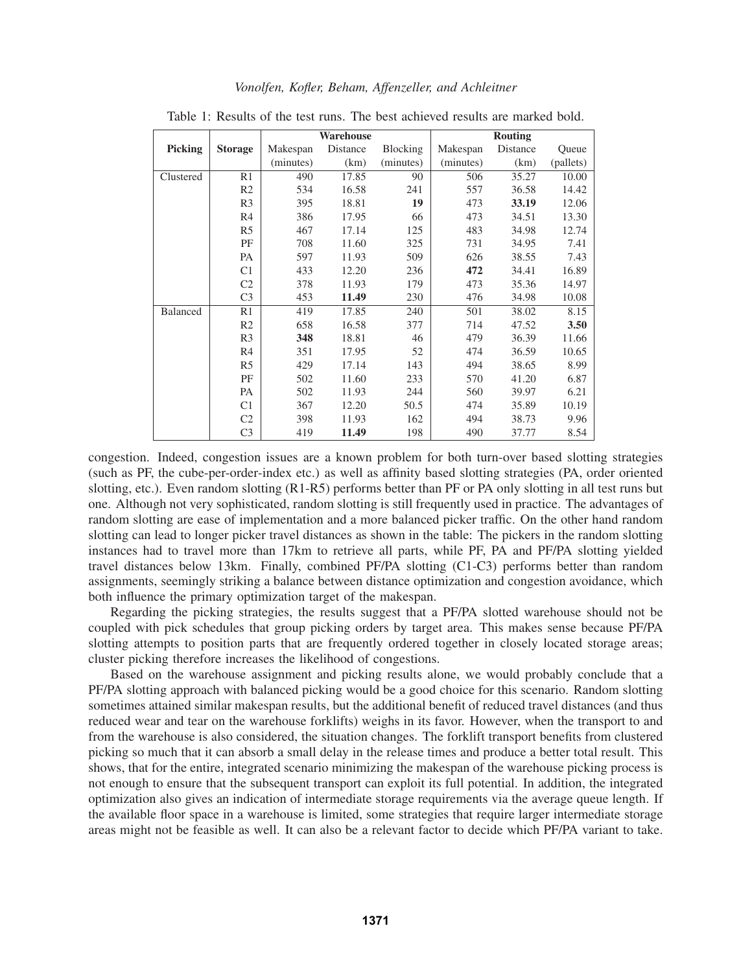|                 |                | Warehouse |          |           | <b>Routing</b> |          |           |
|-----------------|----------------|-----------|----------|-----------|----------------|----------|-----------|
| <b>Picking</b>  | <b>Storage</b> | Makespan  | Distance | Blocking  | Makespan       | Distance | Queue     |
|                 |                | (minutes) | (km)     | (minutes) | (minutes)      | (km)     | (pallets) |
| Clustered       | R1             | 490       | 17.85    | 90        | 506            | 35.27    | 10.00     |
|                 | R <sub>2</sub> | 534       | 16.58    | 241       | 557            | 36.58    | 14.42     |
|                 | R <sub>3</sub> | 395       | 18.81    | 19        | 473            | 33.19    | 12.06     |
|                 | R <sub>4</sub> | 386       | 17.95    | 66        | 473            | 34.51    | 13.30     |
|                 | R <sub>5</sub> | 467       | 17.14    | 125       | 483            | 34.98    | 12.74     |
|                 | PF             | 708       | 11.60    | 325       | 731            | 34.95    | 7.41      |
|                 | PA             | 597       | 11.93    | 509       | 626            | 38.55    | 7.43      |
|                 | C1             | 433       | 12.20    | 236       | 472            | 34.41    | 16.89     |
|                 | C <sub>2</sub> | 378       | 11.93    | 179       | 473            | 35.36    | 14.97     |
|                 | C <sub>3</sub> | 453       | 11.49    | 230       | 476            | 34.98    | 10.08     |
| <b>Balanced</b> | R1             | 419       | 17.85    | 240       | 501            | 38.02    | 8.15      |
|                 | R <sub>2</sub> | 658       | 16.58    | 377       | 714            | 47.52    | 3.50      |
|                 | R <sub>3</sub> | 348       | 18.81    | 46        | 479            | 36.39    | 11.66     |
|                 | R <sub>4</sub> | 351       | 17.95    | 52        | 474            | 36.59    | 10.65     |
|                 | R <sub>5</sub> | 429       | 17.14    | 143       | 494            | 38.65    | 8.99      |
|                 | PF             | 502       | 11.60    | 233       | 570            | 41.20    | 6.87      |
|                 | PA             | 502       | 11.93    | 244       | 560            | 39.97    | 6.21      |
|                 | C1             | 367       | 12.20    | 50.5      | 474            | 35.89    | 10.19     |
|                 | C <sub>2</sub> | 398       | 11.93    | 162       | 494            | 38.73    | 9.96      |
|                 | C <sub>3</sub> | 419       | 11.49    | 198       | 490            | 37.77    | 8.54      |

Table 1: Results of the test runs. The best achieved results are marked bold.

congestion. Indeed, congestion issues are a known problem for both turn-over based slotting strategies (such as PF, the cube-per-order-index etc.) as well as affinity based slotting strategies (PA, order oriented slotting, etc.). Even random slotting (R1-R5) performs better than PF or PA only slotting in all test runs but one. Although not very sophisticated, random slotting is still frequently used in practice. The advantages of random slotting are ease of implementation and a more balanced picker traffic. On the other hand random slotting can lead to longer picker travel distances as shown in the table: The pickers in the random slotting instances had to travel more than 17km to retrieve all parts, while PF, PA and PF/PA slotting yielded travel distances below 13km. Finally, combined PF/PA slotting (C1-C3) performs better than random assignments, seemingly striking a balance between distance optimization and congestion avoidance, which both influence the primary optimization target of the makespan.

Regarding the picking strategies, the results suggest that a PF/PA slotted warehouse should not be coupled with pick schedules that group picking orders by target area. This makes sense because PF/PA slotting attempts to position parts that are frequently ordered together in closely located storage areas; cluster picking therefore increases the likelihood of congestions.

Based on the warehouse assignment and picking results alone, we would probably conclude that a PF/PA slotting approach with balanced picking would be a good choice for this scenario. Random slotting sometimes attained similar makespan results, but the additional benefit of reduced travel distances (and thus reduced wear and tear on the warehouse forklifts) weighs in its favor. However, when the transport to and from the warehouse is also considered, the situation changes. The forklift transport benefits from clustered picking so much that it can absorb a small delay in the release times and produce a better total result. This shows, that for the entire, integrated scenario minimizing the makespan of the warehouse picking process is not enough to ensure that the subsequent transport can exploit its full potential. In addition, the integrated optimization also gives an indication of intermediate storage requirements via the average queue length. If the available floor space in a warehouse is limited, some strategies that require larger intermediate storage areas might not be feasible as well. It can also be a relevant factor to decide which PF/PA variant to take.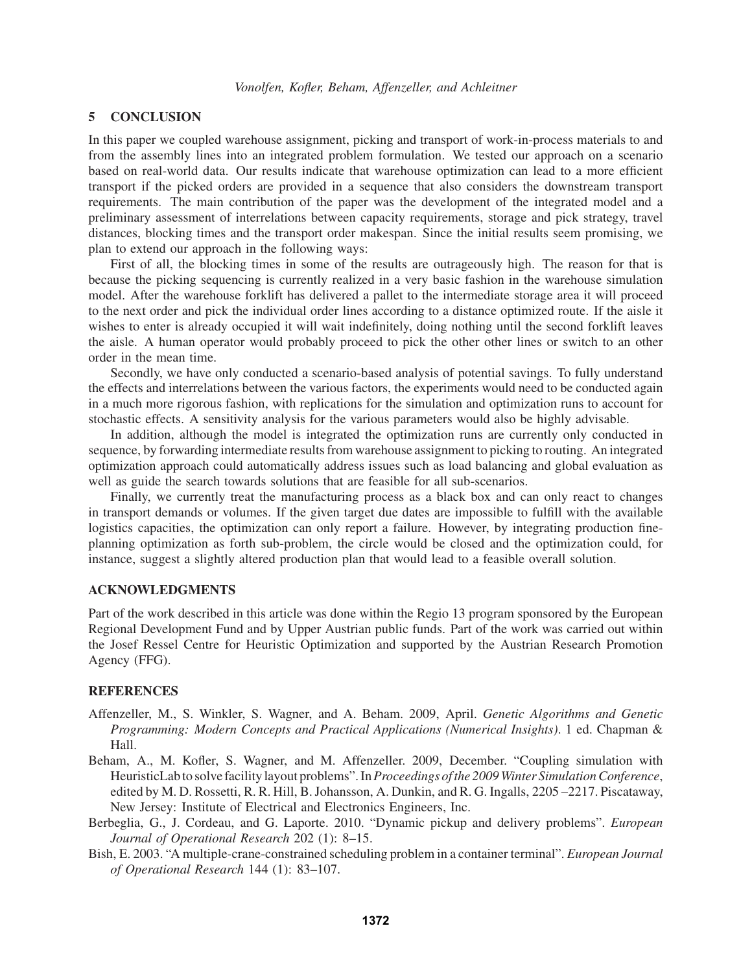## **5 CONCLUSION**

In this paper we coupled warehouse assignment, picking and transport of work-in-process materials to and from the assembly lines into an integrated problem formulation. We tested our approach on a scenario based on real-world data. Our results indicate that warehouse optimization can lead to a more efficient transport if the picked orders are provided in a sequence that also considers the downstream transport requirements. The main contribution of the paper was the development of the integrated model and a preliminary assessment of interrelations between capacity requirements, storage and pick strategy, travel distances, blocking times and the transport order makespan. Since the initial results seem promising, we plan to extend our approach in the following ways:

First of all, the blocking times in some of the results are outrageously high. The reason for that is because the picking sequencing is currently realized in a very basic fashion in the warehouse simulation model. After the warehouse forklift has delivered a pallet to the intermediate storage area it will proceed to the next order and pick the individual order lines according to a distance optimized route. If the aisle it wishes to enter is already occupied it will wait indefinitely, doing nothing until the second forklift leaves the aisle. A human operator would probably proceed to pick the other other lines or switch to an other order in the mean time.

Secondly, we have only conducted a scenario-based analysis of potential savings. To fully understand the effects and interrelations between the various factors, the experiments would need to be conducted again in a much more rigorous fashion, with replications for the simulation and optimization runs to account for stochastic effects. A sensitivity analysis for the various parameters would also be highly advisable.

In addition, although the model is integrated the optimization runs are currently only conducted in sequence, by forwarding intermediate results from warehouse assignment to picking to routing. An integrated optimization approach could automatically address issues such as load balancing and global evaluation as well as guide the search towards solutions that are feasible for all sub-scenarios.

Finally, we currently treat the manufacturing process as a black box and can only react to changes in transport demands or volumes. If the given target due dates are impossible to fulfill with the available logistics capacities, the optimization can only report a failure. However, by integrating production fineplanning optimization as forth sub-problem, the circle would be closed and the optimization could, for instance, suggest a slightly altered production plan that would lead to a feasible overall solution.

## **ACKNOWLEDGMENTS**

Part of the work described in this article was done within the Regio 13 program sponsored by the European Regional Development Fund and by Upper Austrian public funds. Part of the work was carried out within the Josef Ressel Centre for Heuristic Optimization and supported by the Austrian Research Promotion Agency (FFG).

### **REFERENCES**

- Affenzeller, M., S. Winkler, S. Wagner, and A. Beham. 2009, April. *Genetic Algorithms and Genetic Programming: Modern Concepts and Practical Applications (Numerical Insights)*. 1 ed. Chapman & Hall.
- Beham, A., M. Kofler, S. Wagner, and M. Affenzeller. 2009, December. "Coupling simulation with HeuristicLab to solve facility layout problems". In*Proceedings of the 2009 Winter Simulation Conference*, edited by M. D. Rossetti, R. R. Hill, B. Johansson, A. Dunkin, and R. G. Ingalls, 2205 –2217. Piscataway, New Jersey: Institute of Electrical and Electronics Engineers, Inc.
- Berbeglia, G., J. Cordeau, and G. Laporte. 2010. "Dynamic pickup and delivery problems". *European Journal of Operational Research* 202 (1): 8–15.
- Bish, E. 2003. "A multiple-crane-constrained scheduling problem in a container terminal". *European Journal of Operational Research* 144 (1): 83–107.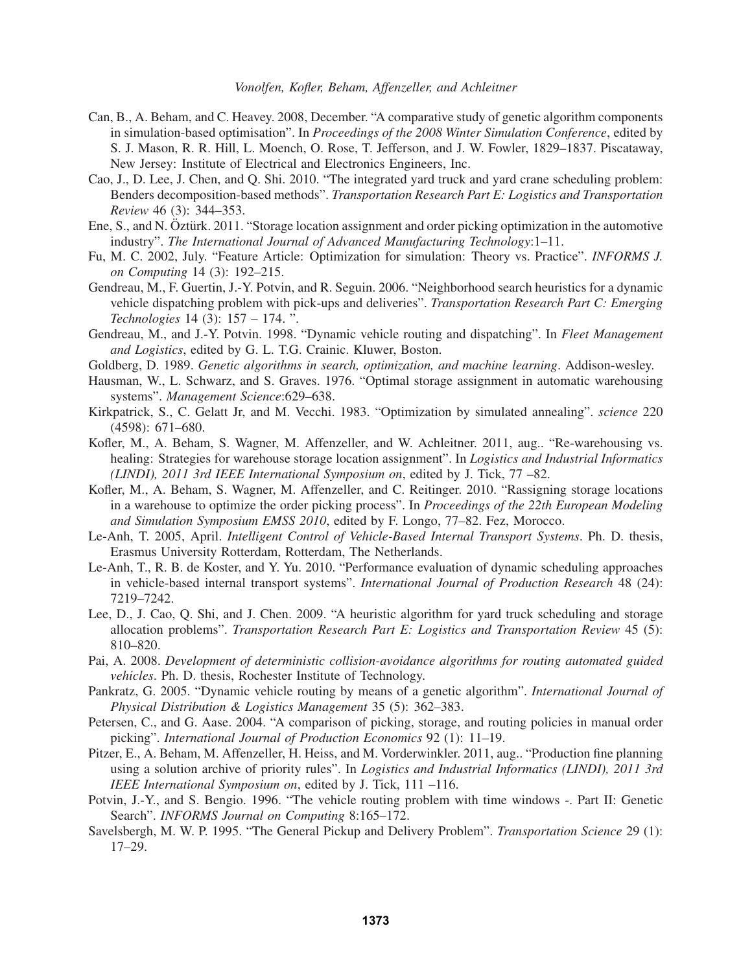- Can, B., A. Beham, and C. Heavey. 2008, December. "A comparative study of genetic algorithm components in simulation-based optimisation". In *Proceedings of the 2008 Winter Simulation Conference*, edited by S. J. Mason, R. R. Hill, L. Moench, O. Rose, T. Jefferson, and J. W. Fowler, 1829–1837. Piscataway, New Jersey: Institute of Electrical and Electronics Engineers, Inc.
- Cao, J., D. Lee, J. Chen, and Q. Shi. 2010. "The integrated yard truck and yard crane scheduling problem: Benders decomposition-based methods". *Transportation Research Part E: Logistics and Transportation Review* 46 (3): 344–353.
- Ene, S., and N. Öztürk. 2011. "Storage location assignment and order picking optimization in the automotive industry". *The International Journal of Advanced Manufacturing Technology*:1–11.
- Fu, M. C. 2002, July. "Feature Article: Optimization for simulation: Theory vs. Practice". *INFORMS J. on Computing* 14 (3): 192–215.
- Gendreau, M., F. Guertin, J.-Y. Potvin, and R. Seguin. 2006. "Neighborhood search heuristics for a dynamic vehicle dispatching problem with pick-ups and deliveries". *Transportation Research Part C: Emerging Technologies* 14 (3): 157 – 174. ".
- Gendreau, M., and J.-Y. Potvin. 1998. "Dynamic vehicle routing and dispatching". In *Fleet Management and Logistics*, edited by G. L. T.G. Crainic. Kluwer, Boston.
- Goldberg, D. 1989. *Genetic algorithms in search, optimization, and machine learning*. Addison-wesley.
- Hausman, W., L. Schwarz, and S. Graves. 1976. "Optimal storage assignment in automatic warehousing systems". *Management Science*:629–638.
- Kirkpatrick, S., C. Gelatt Jr, and M. Vecchi. 1983. "Optimization by simulated annealing". *science* 220 (4598): 671–680.
- Kofler, M., A. Beham, S. Wagner, M. Affenzeller, and W. Achleitner. 2011, aug.. "Re-warehousing vs. healing: Strategies for warehouse storage location assignment". In *Logistics and Industrial Informatics (LINDI), 2011 3rd IEEE International Symposium on*, edited by J. Tick, 77 –82.
- Kofler, M., A. Beham, S. Wagner, M. Affenzeller, and C. Reitinger. 2010. "Rassigning storage locations in a warehouse to optimize the order picking process". In *Proceedings of the 22th European Modeling and Simulation Symposium EMSS 2010*, edited by F. Longo, 77–82. Fez, Morocco.
- Le-Anh, T. 2005, April. *Intelligent Control of Vehicle-Based Internal Transport Systems*. Ph. D. thesis, Erasmus University Rotterdam, Rotterdam, The Netherlands.
- Le-Anh, T., R. B. de Koster, and Y. Yu. 2010. "Performance evaluation of dynamic scheduling approaches in vehicle-based internal transport systems". *International Journal of Production Research* 48 (24): 7219–7242.
- Lee, D., J. Cao, Q. Shi, and J. Chen. 2009. "A heuristic algorithm for yard truck scheduling and storage allocation problems". *Transportation Research Part E: Logistics and Transportation Review* 45 (5): 810–820.
- Pai, A. 2008. *Development of deterministic collision-avoidance algorithms for routing automated guided vehicles*. Ph. D. thesis, Rochester Institute of Technology.
- Pankratz, G. 2005. "Dynamic vehicle routing by means of a genetic algorithm". *International Journal of Physical Distribution & Logistics Management* 35 (5): 362–383.
- Petersen, C., and G. Aase. 2004. "A comparison of picking, storage, and routing policies in manual order picking". *International Journal of Production Economics* 92 (1): 11–19.
- Pitzer, E., A. Beham, M. Affenzeller, H. Heiss, and M. Vorderwinkler. 2011, aug.. "Production fine planning using a solution archive of priority rules". In *Logistics and Industrial Informatics (LINDI), 2011 3rd IEEE International Symposium on*, edited by J. Tick, 111 –116.
- Potvin, J.-Y., and S. Bengio. 1996. "The vehicle routing problem with time windows -. Part II: Genetic Search". *INFORMS Journal on Computing* 8:165–172.
- Savelsbergh, M. W. P. 1995. "The General Pickup and Delivery Problem". *Transportation Science* 29 (1): 17–29.